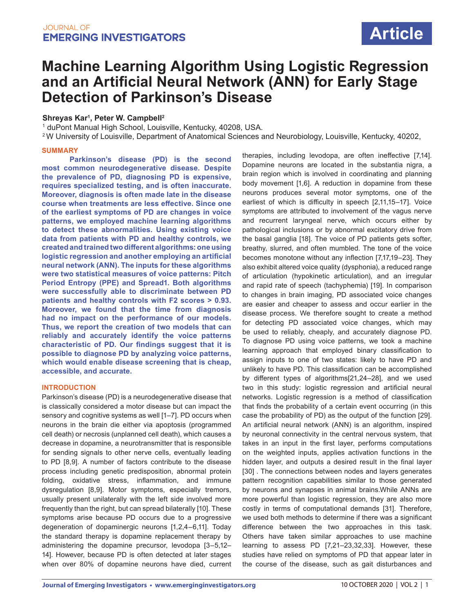# **Machine Learning Algorithm Using Logistic Regression and an Artificial Neural Network (ANN) for Early Stage Detection of Parkinson's Disease**

### **Shreyas Kar1 , Peter W. Campbell2**

1 duPont Manual High School, Louisville, Kentucky, 40208, USA.

2 W University of Louisville, Department of Anatomical Sciences and Neurobiology, Louisville, Kentucky, 40202,

### **SUMMARY**

**Parkinson's disease (PD) is the second most common neurodegenerative disease. Despite the prevalence of PD, diagnosing PD is expensive, requires specialized testing, and is often inaccurate. Moreover, diagnosis is often made late in the disease course when treatments are less effective. Since one of the earliest symptoms of PD are changes in voice patterns, we employed machine learning algorithms to detect these abnormalities. Using existing voice data from patients with PD and healthy controls, we created and trained two different algorithms: one using logistic regression and another employing an artificial neural network (ANN). The inputs for these algorithms were two statistical measures of voice patterns: Pitch Period Entropy (PPE) and Spread1. Both algorithms were successfully able to discriminate between PD patients and healthy controls with F2 scores > 0.93. Moreover, we found that the time from diagnosis had no impact on the performance of our models. Thus, we report the creation of two models that can reliably and accurately identify the voice patterns characteristic of PD. Our findings suggest that it is possible to diagnose PD by analyzing voice patterns, which would enable disease screening that is cheap, accessible, and accurate.** 

### **INTRODUCTION**

Parkinson's disease (PD) is a neurodegenerative disease that is classically considered a motor disease but can impact the sensory and cognitive systems as well [1–7]. PD occurs when neurons in the brain die either via apoptosis (programmed cell death) or necrosis (unplanned cell death), which causes a decrease in dopamine, a neurotransmitter that is responsible for sending signals to other nerve cells, eventually leading to PD [8,9]. A number of factors contribute to the disease process including genetic predisposition, abnormal protein folding, oxidative stress, inflammation, and immune dysregulation [8,9]. Motor symptoms, especially tremors, usually present unilaterally with the left side involved more frequently than the right, but can spread bilaterally [10]. These symptoms arise because PD occurs due to a progressive degeneration of dopaminergic neurons [1,2,4–6,11]. Today the standard therapy is dopamine replacement therapy by administering the dopamine precursor, levodopa [3–5,12– 14]. However, because PD is often detected at later stages when over 80% of dopamine neurons have died, current therapies, including levodopa, are often ineffective [7,14]. Dopamine neurons are located in the substantia nigra, a brain region which is involved in coordinating and planning body movement [1,6]. A reduction in dopamine from these neurons produces several motor symptoms, one of the earliest of which is difficulty in speech [2,11,15–17]. Voice symptoms are attributed to involvement of the vagus nerve and recurrent laryngeal nerve, which occurs either by pathological inclusions or by abnormal excitatory drive from the basal ganglia [18]. The voice of PD patients gets softer, breathy, slurred, and often mumbled. The tone of the voice becomes monotone without any inflection [7,17,19–23]. They also exhibit altered voice quality (dysphonia), a reduced range of articulation (hypokinetic articulation), and an irregular and rapid rate of speech (tachyphemia) [19]. In comparison to changes in brain imaging, PD associated voice changes are easier and cheaper to assess and occur earlier in the disease process. We therefore sought to create a method for detecting PD associated voice changes, which may be used to reliably, cheaply, and accurately diagnose PD. To diagnose PD using voice patterns, we took a machine learning approach that employed binary classification to assign inputs to one of two states: likely to have PD and unlikely to have PD. This classification can be accomplished by different types of algorithms[21,24–28], and we used two in this study: logistic regression and artificial neural networks. Logistic regression is a method of classification that finds the probability of a certain event occurring (in this case the probability of PD) as the output of the function [29]. An artificial neural network (ANN) is an algorithm, inspired by neuronal connectivity in the central nervous system, that takes in an input in the first layer, performs computations on the weighted inputs, applies activation functions in the hidden layer, and outputs a desired result in the final layer [30]. The connections between nodes and layers generates pattern recognition capabilities similar to those generated by neurons and synapses in animal brains.While ANNs are more powerful than logistic regression, they are also more costly in terms of computational demands [31]. Therefore, we used both methods to determine if there was a significant difference between the two approaches in this task. Others have taken similar approaches to use machine learning to assess PD [7,21–23,32,33]. However, these studies have relied on symptoms of PD that appear later in the course of the disease, such as gait disturbances and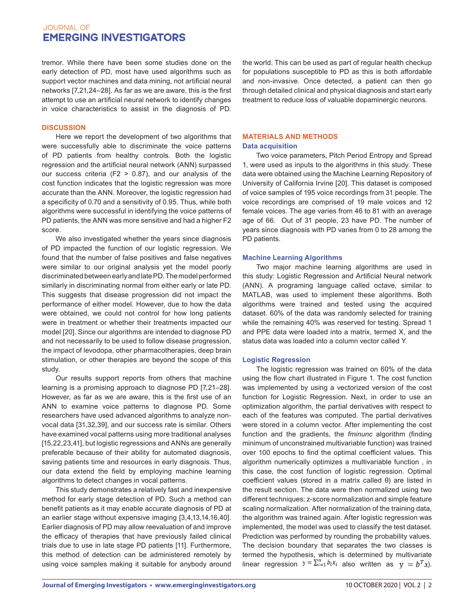tremor. While there have been some studies done on the early detection of PD, most have used algorithms such as support vector machines and data mining, not artificial neural networks [7,21,24–28]. As far as we are aware, this is the first attempt to use an artificial neural network to identify changes in voice characteristics to assist in the diagnosis of PD.

### **DISCUSSION**

Here we report the development of two algorithms that were successfully able to discriminate the voice patterns of PD patients from healthy controls. Both the logistic regression and the artificial neural network (ANN) surpassed our success criteria (F2 > 0.87), and our analysis of the cost function indicates that the logistic regression was more accurate than the ANN. Moreover, the logistic regression had a specificity of 0.70 and a sensitivity of 0.95. Thus, while both algorithms were successful in identifying the voice patterns of PD patients, the ANN was more sensitive and had a higher F2 score.

We also investigated whether the years since diagnosis of PD impacted the function of our logistic regression. We found that the number of false positives and false negatives were similar to our original analysis yet the model poorly discriminated between early and late PD. The model performed similarly in discriminating normal from either early or late PD. This suggests that disease progression did not impact the performance of either model. However, due to how the data were obtained, we could not control for how long patients were in treatment or whether their treatments impacted our model [20]. Since our algorithms are intended to diagnose PD and not necessarily to be used to follow disease progression, the impact of levodopa, other pharmacotherapies, deep brain stimulation, or other therapies are beyond the scope of this study.

Our results support reports from others that machine learning is a promising approach to diagnose PD [7,21–28]. However, as far as we are aware, this is the first use of an ANN to examine voice patterns to diagnose PD. Some researchers have used advanced algorithms to analyze nonvocal data [31,32,39], and our success rate is similar. Others have examined vocal patterns using more traditional analyses [15,22,23,41], but logistic regressions and ANNs are generally preferable because of their ability for automated diagnosis, saving patients time and resources in early diagnosis. Thus, our data extend the field by employing machine learning algorithms to detect changes in vocal patterns.

This study demonstrates a relatively fast and inexpensive method for early stage detection of PD. Such a method can benefit patients as it may enable accurate diagnosis of PD at an earlier stage without expensive imaging [3,4,13,14,16,40]. Earlier diagnosis of PD may allow reevaluation of and improve the efficacy of therapies that have previously failed clinical trials due to use in late stage PD patients [11]. Furthermore, this method of detection can be administered remotely by using voice samples making it suitable for anybody around

the world. This can be used as part of regular health checkup for populations susceptible to PD as this is both affordable and non-invasive. Once detected, a patient can then go through detailed clinical and physical diagnosis and start early treatment to reduce loss of valuable dopaminergic neurons.

### **MATERIALS AND METHODS Data acquisition**

Two voice parameters, Pitch Period Entropy and Spread 1, were used as inputs to the algorithms in this study. These data were obtained using the Machine Learning Repository of University of California Irvine [20]. This dataset is composed of voice samples of 195 voice recordings from 31 people. The voice recordings are comprised of 19 male voices and 12 female voices. The age varies from 46 to 81 with an average age of 66. Out of 31 people, 23 have PD. The number of years since diagnosis with PD varies from 0 to 28 among the PD patients.

### **Machine Learning Algorithms**

Two major machine learning algorithms are used in this study: Logistic Regression and Artificial Neural network (ANN). A programing language called octave, similar to MATLAB, was used to implement these algorithms. Both algorithms were trained and tested using the acquired dataset. 60% of the data was randomly selected for training while the remaining 40% was reserved for testing. Spread 1 and PPE data were loaded into a matrix, termed X, and the status data was loaded into a column vector called Y.

### **Logistic Regression**

The logistic regression was trained on 60% of the data using the flow chart illustrated in Figure 1. The cost function was implemented by using a vectorized version of the cost function for Logistic Regression. Next, in order to use an optimization algorithm, the partial derivatives with respect to each of the features was computed. The partial derivatives were stored in a column vector. After implementing the cost function and the gradients, the *fminunc* algorithm (finding minimum of unconstrained multivariable function) was trained over 100 epochs to find the optimal coefficient values. This algorithm numerically optimizes a multivariable function , in this case, the cost function of logistic regression. Optimal coefficient values (stored in a matrix called θ) are listed in the result section. The data were then normalized using two different techniques: z-score normalization and simple feature scaling normalization. After normalization of the training data, the algorithm was trained again. After logistic regression was implemented, the model was used to classify the test dataset. Prediction was performed by rounding the probability values. The decision boundary that separates the two classes is termed the hypothesis, which is determined by multivariate linear regression  $y = \sum_{i=1}^{n} b_i x_i$  also written as  $y = b^T x$ ).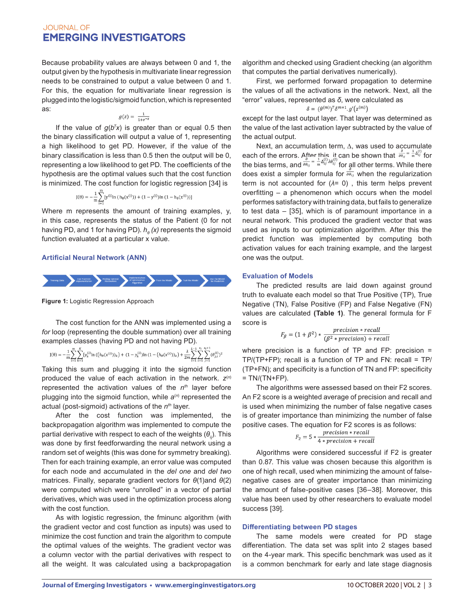Because probability values are always between 0 and 1, the output given by the hypothesis in multivariate linear regression needs to be constrained to output a value between 0 and 1. For this, the equation for multivariate linear regression is plugged into the logistic/sigmoid function, which is represented as:

$$
g(z) = \frac{1}{1+e^{-z}}
$$

If the value of *g*(*bT x*) is greater than or equal 0.5 then the binary classification will output a value of 1, representing a high likelihood to get PD. However, if the value of the binary classification is less than 0.5 then the output will be 0, representing a low likelihood to get PD. The coefficients of the hypothesis are the optimal values such that the cost function is minimized. The cost function for logistic regression [34] is

$$
J(\theta) = -\frac{1}{m} \sum_{i=1}^{m} [y^{(i)}ln (h_{\theta}(x^{(i)})) + (1 - y^{(i)})ln (1 - h_{\theta}(x^{(i)}))]
$$

Where m represents the amount of training examples, y, in this case, represents the status of the Patient (0 for not having PD, and 1 for having PD). *h<sup>θ</sup> (x)* represents the sigmoid function evaluated at a particular x value.

### **Artificial Neural Network (ANN)**



**Figure 1:** Logistic Regression Approach

The cost function for the ANN was implemented using a *for* loop (representing the double summation) over all training examples classes (having PD and not having PD).

$$
J(\theta) = -\frac{1}{m}\sum_{i=1}^{m}\sum_{k=1}^{K} [y_k^{(i)}\ln\left((h_\theta(x^{(i)}))_k\right) + (1-y_k^{(i)})\ln\left(1 - (h_\theta(x^{(i)}))_k\right) + \frac{\lambda}{2m}\sum_{i=1}^{L-1}\sum_{i=1}^{s_i}\sum_{j=1}^{s_i+1} (\theta_{j,i}^{(i)})^2
$$

Taking this sum and plugging it into the sigmoid function produced the value of each activation in the network.  $z^{(n)}$ represented the activation values of the  $n<sup>th</sup>$  layer before plugging into the sigmoid function, while a<sup>(n)</sup> represented the actual (post-sigmoid) activations of the *nth* layer.

After the cost function was implemented, the backpropagation algorithm was implemented to compute the partial derivative with respect to each of the weights (*θ*ij). This was done by first feedforwarding the neural network using a random set of weights (this was done for symmetry breaking). Then for each training example, an error value was computed for each node and accumulated in the *del one* and *del two* matrices. Finally, separate gradient vectors for *θ*(1)and *θ*(2) were computed which were "unrolled" in a vector of partial derivatives, which was used in the optimization process along with the cost function.

As with logistic regression, the fminunc algorithm (with the gradient vector and cost function as inputs) was used to minimize the cost function and train the algorithm to compute the optimal values of the weights. The gradient vector was a column vector with the partial derivatives with respect to all the weight. It was calculated using a backpropagation

algorithm and checked using Gradient checking (an algorithm that computes the partial derivatives numerically).

First, we performed forward propagation to determine the values of all the activations in the network. Next, all the "error" values, represented as *δ*, were calculated as

$$
\delta = (\theta^{(m)})^T \delta^{m+1} . g'(z^{(m)})
$$

except for the last output layer. That layer was determined as the value of the last activation layer subtracted by the value of the actual output.

Next, an accumulation term, ∆, was used to accumulate each of the errors. After this, it can be shown that  $\frac{\partial \theta_{ij}}{\partial \theta_{ij}} = \frac{1}{m} \Delta_{ij}^2$  for the bias terms, and  $\partial \theta_{ij}$   $^{-}$   $\pi^{\Delta_{ij} \, \prime \omega_{ij}}$  for all other terms. While there does exist a simpler formula for  $\frac{\partial}{\partial \theta_{ij}}$  when the regularization term is not accounted for (*λ*= 0) , this term helps prevent overfitting – a phenomenon which occurs when the model performes satisfactory with training data, but fails to generalize to test data – [35], which is of paramount importance in a neural network. This produced the gradient vector that was used as inputs to our optimization algorithm. After this the predict function was implemented by computing both activation values for each training example, and the largest one was the output.

### **Evaluation of Models**

The predicted results are laid down against ground truth to evaluate each model so that True Positive (TP), True Negative (TN), False Positive (FP) and False Negative (FN) values are calculated **(Table 1)**. The general formula for F score is

$$
F_{\beta} = (1 + \beta^2) * \frac{precision * recall}{(\beta^2 * precision) + recall}
$$

where precision is a function of TP and FP: precision = TP/(TP+FP); recall is a function of TP and FN: recall = TP/ (TP+FN); and specificity is a function of TN and FP: specificity  $= TN/(TN+FP)$ .

The algorithms were assessed based on their F2 scores. An F2 score is a weighted average of precision and recall and is used when minimizing the number of false negative cases is of greater importance than minimizing the number of false positive cases. The equation for F2 scores is as follows:

$$
F_2 = 5 * \frac{precision * recall}{4 * precision + recall}
$$

Algorithms were considered successful if F2 is greater than 0.87. This value was chosen because this algorithm is one of high recall, used when minimizing the amount of falsenegative cases are of greater importance than minimizing the amount of false-positive cases [36–38]. Moreover, this value has been used by other researchers to evaluate model success [39].

### **Differentiating between PD stages**

The same models were created for PD stage differentiation. The data set was split into 2 stages based on the 4-year mark. This specific benchmark was used as it is a common benchmark for early and late stage diagnosis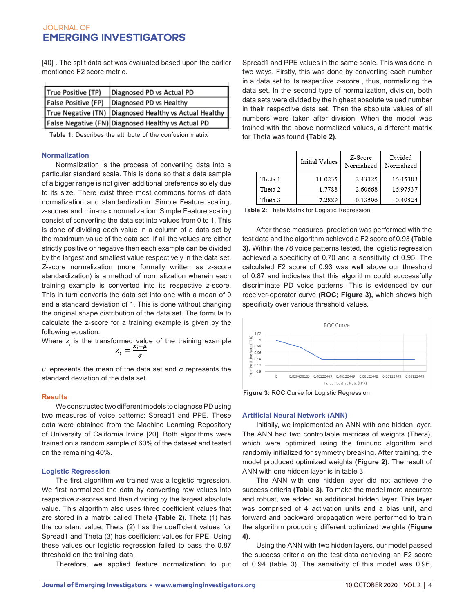[40] . The split data set was evaluated based upon the earlier mentioned F2 score metric.

| True Positive (TP)  | Diagnosed PD vs Actual PD                              |
|---------------------|--------------------------------------------------------|
| False Positive (FP) | Diagnosed PD vs Healthy                                |
|                     | True Negative (TN) Diagnosed Healthy vs Actual Healthy |
|                     | False Negative (FN) Diagnosed Healthy vs Actual PD     |

**Table 1:** Describes the attribute of the confusion matrix

#### **Normalization**

Normalization is the process of converting data into a particular standard scale. This is done so that a data sample of a bigger range is not given additional preference solely due to its size. There exist three most commons forms of data normalization and standardization: Simple Feature scaling, z-scores and min-max normalization. Simple Feature scaling consist of converting the data set into values from 0 to 1. This is done of dividing each value in a column of a data set by the maximum value of the data set. If all the values are either strictly positive or negative then each example can be divided by the largest and smallest value respectively in the data set. *Z*-score normalization (more formally written as *z*-score standardization) is a method of normalization wherein each training example is converted into its respective *z*-score. This in turn converts the data set into one with a mean of 0 and a standard deviation of 1. This is done without changing the original shape distribution of the data set. The formula to calculate the z-score for a training example is given by the following equation:

Where  $z_i$  is the transformed value of the training example

*μ*. epresents the mean of the data set and *α* represents the standard deviation of the data set.

#### **Results**

We constructed two different models to diagnose PD using two measures of voice patterns: Spread1 and PPE. These data were obtained from the Machine Learning Repository of University of California Irvine [20]. Both algorithms were trained on a random sample of 60% of the dataset and tested on the remaining 40%.

#### **Logistic Regression**

The first algorithm we trained was a logistic regression. We first normalized the data by converting raw values into respective z-scores and then dividing by the largest absolute value. This algorithm also uses three coefficient values that are stored in a matrix called Theta **(Table 2)**. Theta (1) has the constant value, Theta (2) has the coefficient values for Spread1 and Theta (3) has coefficient values for PPE. Using these values our logistic regression failed to pass the 0.87 threshold on the training data.

Therefore, we applied feature normalization to put

Spread1 and PPE values in the same scale. This was done in two ways. Firstly, this was done by converting each number in a data set to its respective *z*-score , thus, normalizing the data set. In the second type of normalization, division, both data sets were divided by the highest absolute valued number in their respective data set. Then the absolute values of all numbers were taken after division. When the model was trained with the above normalized values, a different matrix for Theta was found **(Table 2)**.

|         | Initial Values | Z-Score<br>Normalized | Divided<br>Normalized |
|---------|----------------|-----------------------|-----------------------|
| Theta 1 | 11.0235        | 2.43125               | 16.45383              |
| Theta 2 | 1.7788         | 2.60668               | 16.97537              |
| Theta 3 | 7.2889         | $-0.13596$            | $-0.49524$            |

**Table 2:** Theta Matrix for Logistic Regression

After these measures, prediction was performed with the test data and the algorithm achieved a F2 score of 0.93 **(Table 3).** Within the 78 voice patterns tested, the logistic regression achieved a specificity of 0.70 and a sensitivity of 0.95. The calculated F2 score of 0.93 was well above our threshold of 0.87 and indicates that this algorithm could successfully discriminate PD voice patterns. This is evidenced by our receiver-operator curve **(ROC; Figure 3),** which shows high specificity over various threshold values.



**Figure 3:** ROC Curve for Logistic Regression

#### **Artificial Neural Network (ANN)**

Initially, we implemented an ANN with one hidden layer. The ANN had two controllable matrices of weights (Theta), which were optimized using the fminunc algorithm and randomly initialized for symmetry breaking. After training, the model produced optimized weights **(Figure 2)**. The result of ANN with one hidden layer is in table 3.

The ANN with one hidden layer did not achieve the success criteria **(Table 3)**. To make the model more accurate and robust, we added an additional hidden layer. This layer was comprised of 4 activation units and a bias unit, and forward and backward propagation were performed to train the algorithm producing different optimized weights **(Figure 4)**.

Using the ANN with two hidden layers, our model passed the success criteria on the test data achieving an F2 score of 0.94 (table 3). The sensitivity of this model was 0.96,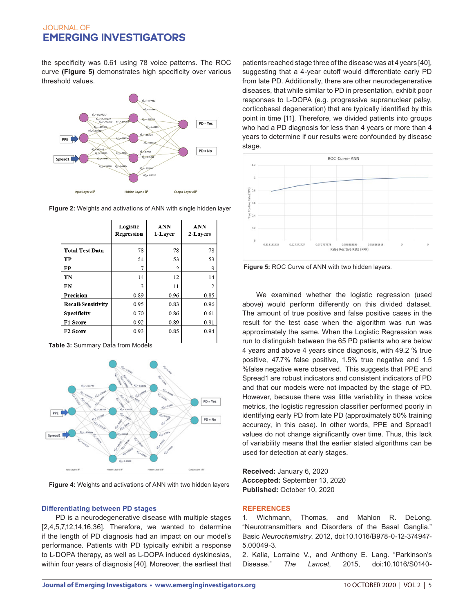the specificity was 0.61 using 78 voice patterns. The ROC curve **(Figure 5)** demonstrates high specificity over various threshold values.



**Figure 2:** Weights and activations of ANN with single hidden layer

|                           | Logistic<br>Regression | <b>ANN</b><br>1-Layer | <b>ANN</b><br>2-Layers |
|---------------------------|------------------------|-----------------------|------------------------|
| <b>Total Test Data</b>    | 78                     | 78                    | 78                     |
| TP                        | 54                     | 53                    | 53                     |
| FP                        | 7                      | $\overline{2}$        | 9                      |
| TN                        | 14                     | 12                    | 14                     |
| FN                        | 3                      | 11                    | 2                      |
| Precision                 | 0.89                   | 0.96                  | 0.85                   |
| <b>Recall/Sensitivity</b> | 0.95                   | 0.83                  | 0.96                   |
| <b>Specificity</b>        | 0.70                   | 0.86                  | 0.61                   |
| F1 Score                  | 0.92                   | 0.89                  | 0.91                   |
| <b>F2 Score</b>           | 0.93                   | 0.85                  | 0.94                   |

**Table 3:** Summary Data from Models



**Figure 4:** Weights and activations of ANN with two hidden layers

### **Differentiating between PD stages**

PD is a neurodegenerative disease with multiple stages [2,4,5,7,12,14,16,36]. Therefore, we wanted to determine if the length of PD diagnosis had an impact on our model's performance. Patients with PD typically exhibit a response to L-DOPA therapy, as well as L-DOPA induced dyskinesias, within four years of diagnosis [40]. Moreover, the earliest that

patients reached stage three of the disease was at 4 years [40], suggesting that a 4-year cutoff would differentiate early PD from late PD. Additionally, there are other neurodegenerative diseases, that while similar to PD in presentation, exhibit poor responses to L-DOPA (e.g. progressive supranuclear palsy, corticobasal degeneration) that are typically identified by this point in time [11]. Therefore, we divided patients into groups who had a PD diagnosis for less than 4 years or more than 4 years to determine if our results were confounded by disease stage.



**Figure 5:** ROC Curve of ANN with two hidden layers.

We examined whether the logistic regression (used above) would perform differently on this divided dataset. The amount of true positive and false positive cases in the result for the test case when the algorithm was run was approximately the same. When the Logistic Regression was run to distinguish between the 65 PD patients who are below 4 years and above 4 years since diagnosis, with 49.2 % true positive, 47.7% false positive, 1.5% true negative and 1.5 %false negative were observed. This suggests that PPE and Spread1 are robust indicators and consistent indicators of PD and that our models were not impacted by the stage of PD. However, because there was little variability in these voice metrics, the logistic regression classifier performed poorly in identifying early PD from late PD (approximately 50% training accuracy, in this case). In other words, PPE and Spread1 values do not change significantly over time. Thus, this lack of variability means that the earlier stated algorithms can be used for detection at early stages.

**Received:** January 6, 2020 **Acccepted:** September 13, 2020 **Published:** October 10, 2020

### **REFERENCES**

1. Wichmann, Thomas, and Mahlon R. DeLong. "Neurotransmitters and Disorders of the Basal Ganglia." Basic *Neurochemistry*, 2012, doi:10.1016/B978-0-12-374947- 5.00049-3.

2. Kalia, Lorraine V., and Anthony E. Lang. "Parkinson's Disease." *The Lancet*, 2015, doi:10.1016/S0140-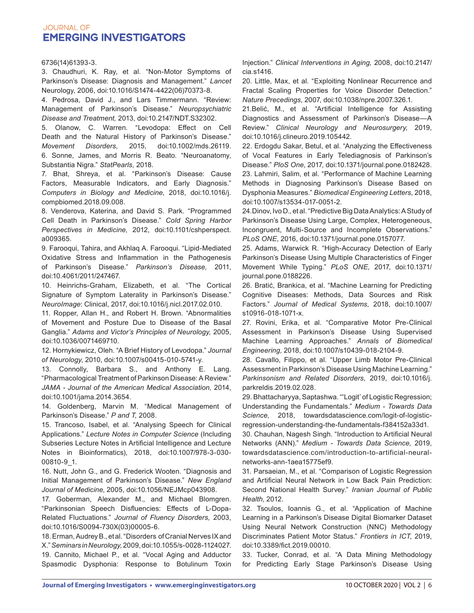#### 6736(14)61393-3.

3. Chaudhuri, K. Ray, et al. "Non-Motor Symptoms of Parkinson's Disease: Diagnosis and Management." *Lancet*  Neurology, 2006, doi:10.1016/S1474-4422(06)70373-8.

4. Pedrosa, David J., and Lars Timmermann. "Review: Management of Parkinson's Disease." *Neuropsychiatric Disease and Treatment,* 2013, doi:10.2147/NDT.S32302.

5. Olanow, C. Warren. "Levodopa: Effect on Cell Death and the Natural History of Parkinson's Disease." *Movement Disorders,* 2015, doi:10.1002/mds.26119. 6. Sonne, James, and Morris R. Beato. "Neuroanatomy, Substantia Nigra." *StatPearls,* 2018.

7. Bhat, Shreya, et al. "Parkinson's Disease: Cause Factors, Measurable Indicators, and Early Diagnosis." *Computers in Biology and Medicine*, 2018, doi:10.1016/j. compbiomed.2018.09.008.

8. Venderova, Katerina, and David S. Park. "Programmed Cell Death in Parkinson's Disease." *Cold Spring Harbor Perspectives in Medicine,* 2012, doi:10.1101/cshperspect. a009365.

9. Farooqui, Tahira, and Akhlaq A. Farooqui. "Lipid-Mediated Oxidative Stress and Inflammation in the Pathogenesis of Parkinson's Disease." *Parkinson's Disease,* 2011, doi:10.4061/2011/247467.

10. Heinrichs-Graham, Elizabeth, et al. "The Cortical Signature of Symptom Laterality in Parkinson's Disease." *NeuroImage*: Clinical, 2017, doi:10.1016/j.nicl.2017.02.010.

11. Ropper, Allan H., and Robert H. Brown. "Abnormalities of Movement and Posture Due to Disease of the Basal Ganglia." *Adams and Victor's Principles of Neurology,* 2005, doi:10.1036/0071469710.

12. Hornykiewicz, Oleh. "A Brief History of Levodopa." *Journal of Neurology*, 2010, doi:10.1007/s00415-010-5741-y.

13. Connolly, Barbara S., and Anthony E. Lang. "Pharmacological Treatment of Parkinson Disease: A Review." *JAMA - Journal of the American Medical Association,* 2014, doi:10.1001/jama.2014.3654.

14. Goldenberg, Marvin M. "Medical Management of Parkinson's Disease." *P and T,* 2008.

15. Trancoso, Isabel, et al. "Analysing Speech for Clinical Applications." *Lecture Notes in Computer Science* (Including Subseries Lecture Notes in Artificial Intelligence and Lecture Notes in Bioinformatics), 2018, doi:10.1007/978-3-030- 00810-9\_1.

16. Nutt, John G., and G. Frederick Wooten. "Diagnosis and Initial Management of Parkinson's Disease." *New England Journal of Medicine*, 2005, doi:10.1056/NEJMcp043908.

17. Goberman, Alexander M., and Michael Blomgren. "Parkinsonian Speech Disfluencies: Effects of L-Dopa-Related Fluctuations." *Journal of Fluency Disorders,* 2003, doi:10.1016/S0094-730X(03)00005-6.

18. Erman, Audrey B., et al. "Disorders of Cranial Nerves IX and X." *Seminars in Neurology,* 2009, doi:10.1055/s-0028-1124027. 19. Cannito, Michael P., et al. "Vocal Aging and Adductor Spasmodic Dysphonia: Response to Botulinum Toxin Injection." *Clinical Interventions in Aging,* 2008, doi:10.2147/ cia.s1416.

20. Little, Max, et al. "Exploiting Nonlinear Recurrence and Fractal Scaling Properties for Voice Disorder Detection." *Nature Precedings*, 2007, doi:10.1038/npre.2007.326.1.

21.Belić, M., et al. "Artificial Intelligence for Assisting Diagnostics and Assessment of Parkinson's Disease—A Review." *Clinical Neurology and Neurosurgery,* 2019, doi:10.1016/j.clineuro.2019.105442.

22. Erdogdu Sakar, Betul, et al. "Analyzing the Effectiveness of Vocal Features in Early Telediagnosis of Parkinson's Disease." *PloS One*, 2017, doi:10.1371/journal.pone.0182428. 23. Lahmiri, Salim, et al. "Performance of Machine Learning Methods in Diagnosing Parkinson's Disease Based on Dysphonia Measures." *Biomedical Engineering Letters*, 2018, doi:10.1007/s13534-017-0051-2.

24.Dinov, Ivo D., et al. "Predictive Big Data Analytics: A Study of Parkinson's Disease Using Large, Complex, Heterogeneous, Incongruent, Multi-Source and Incomplete Observations." *PLoS ONE*, 2016, doi:10.1371/journal.pone.0157077.

25. Adams, Warwick R. "High-Accuracy Detection of Early Parkinson's Disease Using Multiple Characteristics of Finger Movement While Typing." *PLoS ONE,* 2017, doi:10.1371/ journal.pone.0188226.

26. Bratić, Brankica, et al. "Machine Learning for Predicting Cognitive Diseases: Methods, Data Sources and Risk Factors." *Journal of Medical Systems*, 2018, doi:10.1007/ s10916-018-1071-x.

27. Rovini, Erika, et al. "Comparative Motor Pre-Clinical Assessment in Parkinson's Disease Using Supervised Machine Learning Approaches." *Annals of Biomedical Engineering*, 2018, doi:10.1007/s10439-018-2104-9.

28. Cavallo, Filippo, et al. "Upper Limb Motor Pre-Clinical Assessment in Parkinson's Disease Using Machine Learning." *Parkinsonism and Related Disorders*, 2019, doi:10.1016/j. parkreldis.2019.02.028.

29. Bhattacharyya, Saptashwa. "'Logit' of Logistic Regression; Understanding the Fundamentals." *Medium - Towards Data Science*, 2018, towardsdatascience.com/logit-of-logisticregression-understanding-the-fundamentals-f384152a33d1.

30. Chauhan, Nagesh Singh. "Introduction to Artificial Neural Networks (ANN)." *Medium - Towards Data Science,* 2019, towardsdatascience.com/introduction-to-artificial-neuralnetworks-ann-1aea15775ef9.

31. Parsaeian, M., et al. "Comparison of Logistic Regression and Artificial Neural Network in Low Back Pain Prediction: Second National Health Survey." *Iranian Journal of Public Health*, 2012.

32. Tsoulos, Ioannis G., et al. "Application of Machine Learning in a Parkinson's Disease Digital Biomarker Dataset Using Neural Network Construction (NNC) Methodology Discriminates Patient Motor Status." *Frontiers in ICT*, 2019, doi:10.3389/fict.2019.00010.

33. Tucker, Conrad, et al. "A Data Mining Methodology for Predicting Early Stage Parkinson's Disease Using